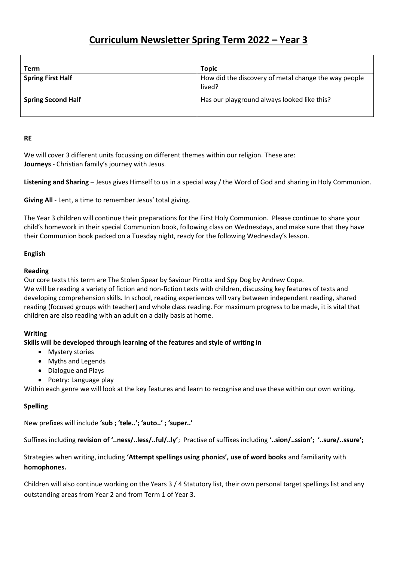# **Curriculum Newsletter Spring Term 2022 – Year 3**

| Term                      | <b>Topic</b>                                                   |
|---------------------------|----------------------------------------------------------------|
| <b>Spring First Half</b>  | How did the discovery of metal change the way people<br>lived? |
| <b>Spring Second Half</b> | Has our playground always looked like this?                    |

#### **RE**

We will cover 3 different units focussing on different themes within our religion. These are: **Journeys** - Christian family's journey with Jesus.

**Listening and Sharing** – Jesus gives Himself to us in a special way / the Word of God and sharing in Holy Communion.

**Giving All** - Lent, a time to remember Jesus' total giving.

The Year 3 children will continue their preparations for the First Holy Communion. Please continue to share your child's homework in their special Communion book, following class on Wednesdays, and make sure that they have their Communion book packed on a Tuesday night, ready for the following Wednesday's lesson.

## **English**

## **Reading**

Our core texts this term are The Stolen Spear by Saviour Pirotta and Spy Dog by Andrew Cope. We will be reading a variety of fiction and non-fiction texts with children, discussing key features of texts and developing comprehension skills. In school, reading experiences will vary between independent reading, shared reading (focused groups with teacher) and whole class reading. For maximum progress to be made, it is vital that children are also reading with an adult on a daily basis at home.

## **Writing**

## **Skills will be developed through learning of the features and style of writing in**

- Mystery stories
- Myths and Legends
- Dialogue and Plays
- Poetry: Language play

Within each genre we will look at the key features and learn to recognise and use these within our own writing.

## **Spelling**

New prefixes will include **'sub ; 'tele..'; 'auto..' ; 'super..'** 

Suffixes including **revision of '..ness/..less/..ful/..ly'**; Practise of suffixes including **'..sion/..ssion'; '..sure/..ssure';** 

## Strategies when writing, including **'Attempt spellings using phonics', use of word books** and familiarity with **homophones.**

Children will also continue working on the Years 3 / 4 Statutory list, their own personal target spellings list and any outstanding areas from Year 2 and from Term 1 of Year 3.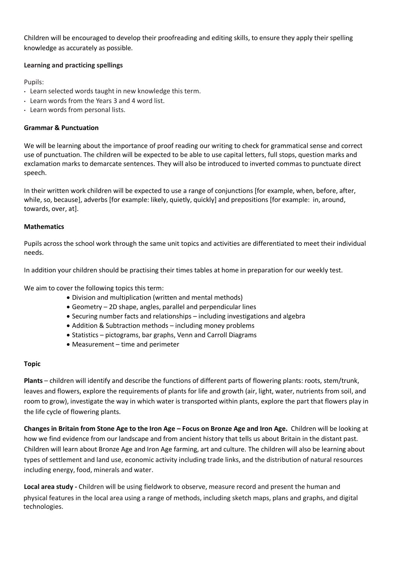Children will be encouraged to develop their proofreading and editing skills, to ensure they apply their spelling knowledge as accurately as possible.

## **Learning and practicing spellings**

Pupils:

- Learn selected words taught in new knowledge this term.
- Learn words from the Years 3 and 4 word list.
- Learn words from personal lists.

## **Grammar & Punctuation**

We will be learning about the importance of proof reading our writing to check for grammatical sense and correct use of punctuation. The children will be expected to be able to use capital letters, full stops, question marks and exclamation marks to demarcate sentences. They will also be introduced to inverted commas to punctuate direct speech.

In their written work children will be expected to use a range of conjunctions [for example, when, before, after, while, so, because], adverbs [for example: likely, quietly, quickly] and prepositions [for example: in, around, towards, over, at].

## **Mathematics**

Pupils across the school work through the same unit topics and activities are differentiated to meet their individual needs.

In addition your children should be practising their times tables at home in preparation for our weekly test.

We aim to cover the following topics this term:

- Division and multiplication (written and mental methods)
- Geometry 2D shape, angles, parallel and perpendicular lines
- Securing number facts and relationships including investigations and algebra
- Addition & Subtraction methods including money problems
- Statistics pictograms, bar graphs, Venn and Carroll Diagrams
- Measurement time and perimeter

## **Topic**

**Plants** – children will identify and describe the functions of different parts of flowering plants: roots, stem/trunk, leaves and flowers, explore the requirements of plants for life and growth (air, light, water, nutrients from soil, and room to grow), investigate the way in which water is transported within plants, explore the part that flowers play in the life cycle of flowering plants.

**Changes in Britain from Stone Age to the Iron Age – Focus on Bronze Age and Iron Age.** Children will be looking at how we find evidence from our landscape and from ancient history that tells us about Britain in the distant past. Children will learn about Bronze Age and Iron Age farming, art and culture. The children will also be learning about types of settlement and land use, economic activity including trade links, and the distribution of natural resources including energy, food, minerals and water.

**Local area study -** Children will be using fieldwork to observe, measure record and present the human and physical features in the local area using a range of methods, including sketch maps, plans and graphs, and digital technologies.